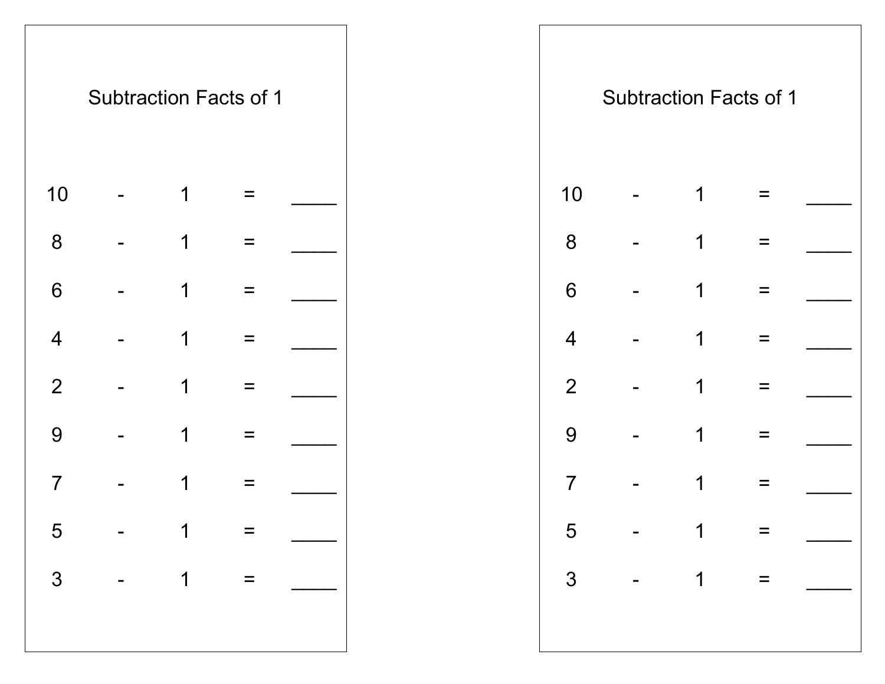

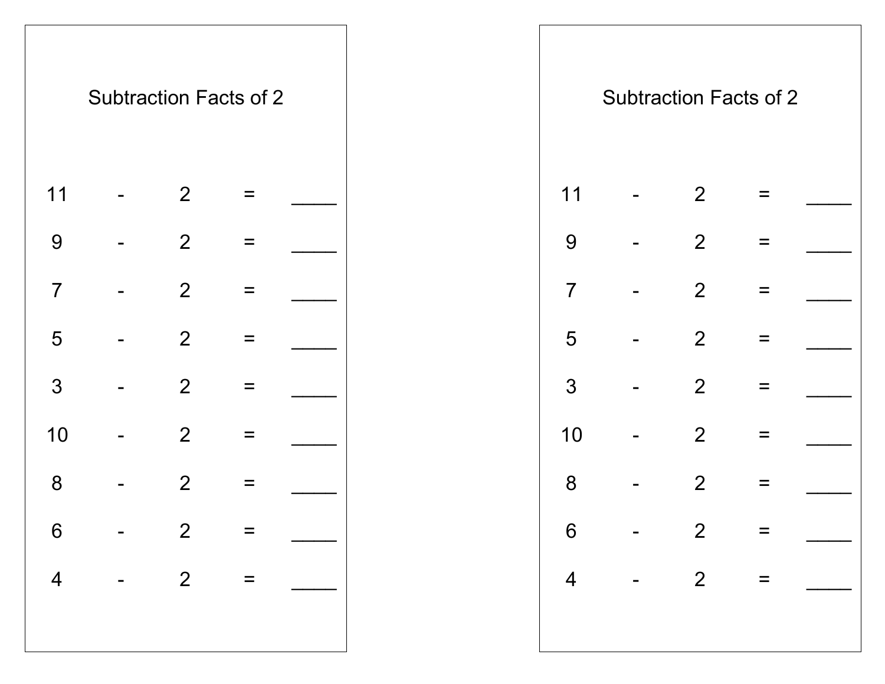|                         |                | <b>Subtraction Facts of 2</b> |  |
|-------------------------|----------------|-------------------------------|--|
| 11                      | $\overline{2}$ |                               |  |
| 9                       | $\overline{2}$ |                               |  |
| $\overline{7}$          | $\mathbf{2}$   |                               |  |
| 5                       | $\overline{2}$ |                               |  |
| 3                       | $\overline{2}$ |                               |  |
| 10                      | 2              |                               |  |
| 8                       | $\overline{2}$ |                               |  |
| $\boldsymbol{6}$        | $\overline{c}$ | $=$                           |  |
| $\overline{\mathbf{4}}$ | $\overline{2}$ | $=$                           |  |
|                         |                |                               |  |

|                | <b>Subtraction Facts of 2</b>                             |                |          |  |  |                | <b>Subtraction Facts of 2</b> |                                               |
|----------------|-----------------------------------------------------------|----------------|----------|--|--|----------------|-------------------------------|-----------------------------------------------|
| 11             |                                                           | 2              | $\equiv$ |  |  | 11             | 2                             |                                               |
| 9              |                                                           | 2              | $\equiv$ |  |  | 9              | 2                             |                                               |
| $\overline{7}$ |                                                           | 2              | $\equiv$ |  |  | $\overline{7}$ | 2                             |                                               |
| 5              |                                                           | 2              | $\equiv$ |  |  | 5              | 2                             |                                               |
| 3              |                                                           | 2              | $=$      |  |  | 3              | $\overline{2}$                |                                               |
| 10             |                                                           | 2              | $=$      |  |  | 10             | 2                             |                                               |
| 8              |                                                           | 2              | $\equiv$ |  |  | 8              | 2                             |                                               |
| 6              |                                                           | $\overline{2}$ | =        |  |  | 6              | 2                             |                                               |
|                | 4 - 2 = $\begin{array}{ c c c c c }\n\hline\n\end{array}$ |                |          |  |  |                |                               | $\begin{vmatrix} 4 & - & 2 & = \end{vmatrix}$ |
|                |                                                           |                |          |  |  |                |                               |                                               |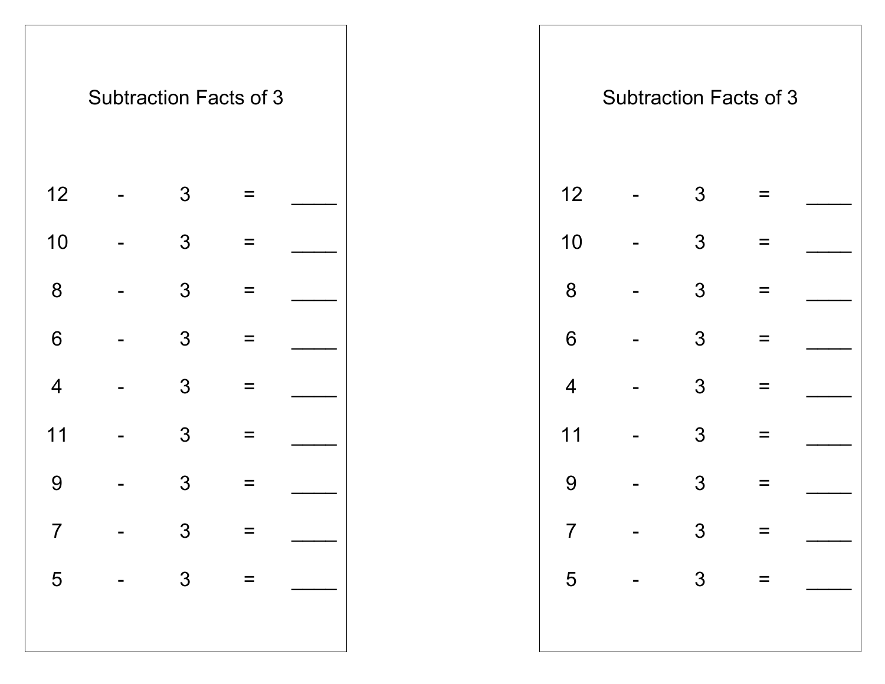|                          | <b>Subtraction Facts of 3</b> |   |  |
|--------------------------|-------------------------------|---|--|
| 12                       |                               | 3 |  |
| 10                       |                               | 3 |  |
| 8                        |                               | 3 |  |
| 6                        |                               | 3 |  |
| $\overline{\mathcal{A}}$ |                               | 3 |  |
| 11                       |                               | 3 |  |
| 9                        |                               | 3 |  |
| 7                        |                               | 3 |  |
| 5                        |                               | 3 |  |
|                          |                               |   |  |

|                 | <b>Subtraction Facts of 3</b> |                |          |              |  |                | <b>Subtraction Facts of 3</b> |          |           |
|-----------------|-------------------------------|----------------|----------|--------------|--|----------------|-------------------------------|----------|-----------|
| 12              |                               | 3              | $=$      |              |  | 12             | 3                             |          |           |
| 10              |                               | $\mathfrak{Z}$ | $\equiv$ |              |  | 10             | $\mathfrak{S}$                |          |           |
| 8               |                               | $\mathfrak{Z}$ | $=$      |              |  | 8              | 3                             |          |           |
| $6\phantom{1}6$ |                               | $\mathfrak{Z}$ | $\equiv$ |              |  | 6              | 3                             | $\equiv$ |           |
| $\overline{4}$  |                               | 3              | $\equiv$ |              |  | $\overline{4}$ | $\mathfrak{S}$                | $\equiv$ |           |
| 11              |                               | $\mathfrak{Z}$ | $\equiv$ |              |  | 11             | 3                             | $\equiv$ |           |
| 9               |                               | $\mathfrak{S}$ | $\equiv$ |              |  | 9              | 3                             | $=$      |           |
| $\overline{7}$  |                               | 3              | $\equiv$ |              |  | $\overline{7}$ | 3                             |          |           |
|                 |                               |                |          | $5 - 3 = \_$ |  |                |                               |          | $5 - 3 =$ |
|                 |                               |                |          |              |  |                |                               |          |           |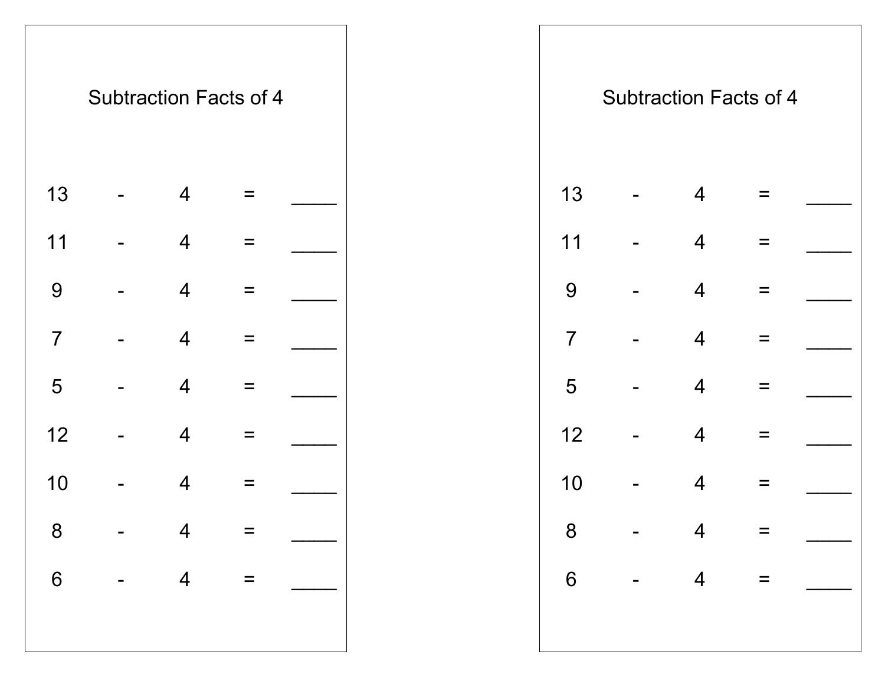|                | <b>Subtraction Facts of 4</b> |                          |   |  |
|----------------|-------------------------------|--------------------------|---|--|
| 13             |                               | 4                        |   |  |
| 11             |                               | $\overline{4}$           |   |  |
| 9              |                               | $\overline{4}$           |   |  |
| $\overline{7}$ |                               | 4                        |   |  |
| 5              |                               | $\overline{4}$           | = |  |
| 12             |                               | $\overline{4}$           |   |  |
| 10             |                               | 4                        |   |  |
| 8              |                               | $\overline{\mathcal{A}}$ |   |  |
| 6              |                               | $\overline{4}$           |   |  |
|                |                               |                          |   |  |

|                | <b>Subtraction Facts of 4</b> |                |          |                                                                                                                                                                                                                                                                                                                             |  |                | <b>Subtraction Facts of 4</b> |          |           |
|----------------|-------------------------------|----------------|----------|-----------------------------------------------------------------------------------------------------------------------------------------------------------------------------------------------------------------------------------------------------------------------------------------------------------------------------|--|----------------|-------------------------------|----------|-----------|
| 13             |                               | $\overline{4}$ | $\equiv$ |                                                                                                                                                                                                                                                                                                                             |  | 13             | 4                             | $=$      |           |
| 11             |                               | $\overline{4}$ | $\equiv$ |                                                                                                                                                                                                                                                                                                                             |  | 11             | $\overline{4}$                | $=$      |           |
| 9              |                               | $\overline{4}$ | $=$      |                                                                                                                                                                                                                                                                                                                             |  | 9              | 4                             | $=$      |           |
| $\overline{7}$ |                               | $\overline{4}$ | $=$      |                                                                                                                                                                                                                                                                                                                             |  | $\overline{7}$ | 4                             | $=$      |           |
| 5              |                               | $\overline{4}$ | $\equiv$ |                                                                                                                                                                                                                                                                                                                             |  | 5              | $\overline{4}$                | $=$      |           |
| 12             |                               | $\overline{4}$ | $\equiv$ |                                                                                                                                                                                                                                                                                                                             |  | 12             | 4                             | $=$      |           |
| 10             |                               | $\overline{4}$ | $\equiv$ |                                                                                                                                                                                                                                                                                                                             |  | 10             | 4                             | $\equiv$ |           |
| 8              |                               | $\overline{4}$ | $=$      |                                                                                                                                                                                                                                                                                                                             |  | 8              | 4                             | $=$      |           |
|                |                               |                |          | 6 - 4 = $\begin{vmatrix} 1 & 0 & 0 & 0 \\ 0 & -1 & 0 & 0 \\ 0 & 0 & 0 & 0 \\ 0 & 0 & 0 & 0 \\ 0 & 0 & 0 & 0 \\ 0 & 0 & 0 & 0 \\ 0 & 0 & 0 & 0 \\ 0 & 0 & 0 & 0 \\ 0 & 0 & 0 & 0 \\ 0 & 0 & 0 & 0 \\ 0 & 0 & 0 & 0 & 0 \\ 0 & 0 & 0 & 0 & 0 \\ 0 & 0 & 0 & 0 & 0 \\ 0 & 0 & 0 & 0 & 0 & 0 \\ 0 & 0 & 0 & 0 & 0 & 0 \\ 0 & 0$ |  |                |                               |          | $6 - 4 =$ |
|                |                               |                |          |                                                                                                                                                                                                                                                                                                                             |  |                |                               |          |           |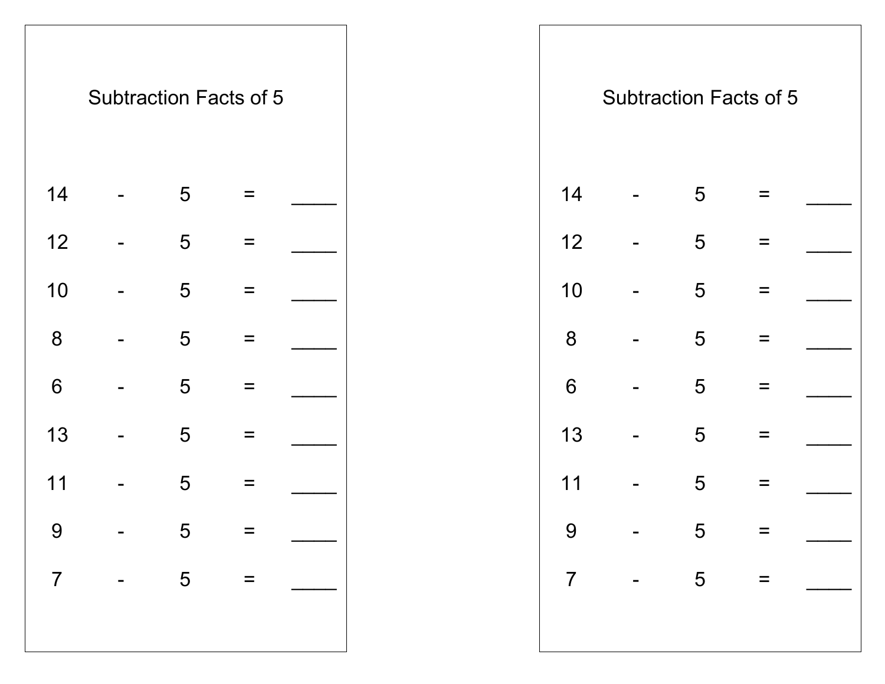|                | <b>Subtraction Facts of 5</b> |   |          |  |
|----------------|-------------------------------|---|----------|--|
| 14             |                               | 5 | $\equiv$ |  |
| 12             |                               | 5 |          |  |
| 10             |                               | 5 |          |  |
| 8              |                               | 5 |          |  |
| 6              |                               | 5 |          |  |
| 13             |                               | 5 | =        |  |
| 11             |                               | 5 |          |  |
| 9              |                               | 5 | $=$      |  |
| $\overline{7}$ |                               | 5 |          |  |
|                |                               |   |          |  |
|                |                               |   |          |  |

|                 | <b>Subtraction Facts of 5</b> |   |          |                                                                                                                                                                                                                                                                                                                                                                                                                                                                 |  |    | <b>Subtraction Facts of 5</b> |          |                                                          |
|-----------------|-------------------------------|---|----------|-----------------------------------------------------------------------------------------------------------------------------------------------------------------------------------------------------------------------------------------------------------------------------------------------------------------------------------------------------------------------------------------------------------------------------------------------------------------|--|----|-------------------------------|----------|----------------------------------------------------------|
| 14              |                               | 5 | $=$      |                                                                                                                                                                                                                                                                                                                                                                                                                                                                 |  | 14 | 5                             | =        |                                                          |
| 12              |                               | 5 | $\equiv$ |                                                                                                                                                                                                                                                                                                                                                                                                                                                                 |  | 12 | 5                             | $\equiv$ |                                                          |
| 10              |                               | 5 | $\equiv$ |                                                                                                                                                                                                                                                                                                                                                                                                                                                                 |  | 10 | 5                             | $=$      |                                                          |
| 8               |                               | 5 | $\equiv$ |                                                                                                                                                                                                                                                                                                                                                                                                                                                                 |  | 8  | 5                             | $\equiv$ |                                                          |
| $6\phantom{1}6$ |                               | 5 | $\equiv$ |                                                                                                                                                                                                                                                                                                                                                                                                                                                                 |  | 6  | 5                             | $\equiv$ |                                                          |
| 13              |                               | 5 | $=$      |                                                                                                                                                                                                                                                                                                                                                                                                                                                                 |  | 13 | 5                             | $\equiv$ |                                                          |
| 11              |                               | 5 | $\equiv$ |                                                                                                                                                                                                                                                                                                                                                                                                                                                                 |  | 11 | 5                             | $\equiv$ |                                                          |
| 9               |                               | 5 | $\equiv$ |                                                                                                                                                                                                                                                                                                                                                                                                                                                                 |  | 9  | 5                             | Ξ        |                                                          |
|                 |                               |   |          | $\begin{array}{ccccccccc}\n7 & - & 5 & = & \boxed{1} & \boxed{1} & \boxed{1} & \boxed{1} & \boxed{1} & \boxed{1} & \boxed{1} & \boxed{1} & \boxed{1} & \boxed{1} & \boxed{1} & \boxed{1} & \boxed{1} & \boxed{1} & \boxed{1} & \boxed{1} & \boxed{1} & \boxed{1} & \boxed{1} & \boxed{1} & \boxed{1} & \boxed{1} & \boxed{1} & \boxed{1} & \boxed{1} & \boxed{1} & \boxed{1} & \boxed{1} & \boxed{1} & \boxed{1} & \boxed{1} & \boxed{1} & \boxed{1} & \boxed{$ |  |    |                               |          | $7 \qquad - \qquad 5 \qquad = \qquad \underline{\qquad}$ |
|                 |                               |   |          |                                                                                                                                                                                                                                                                                                                                                                                                                                                                 |  |    |                               |          |                                                          |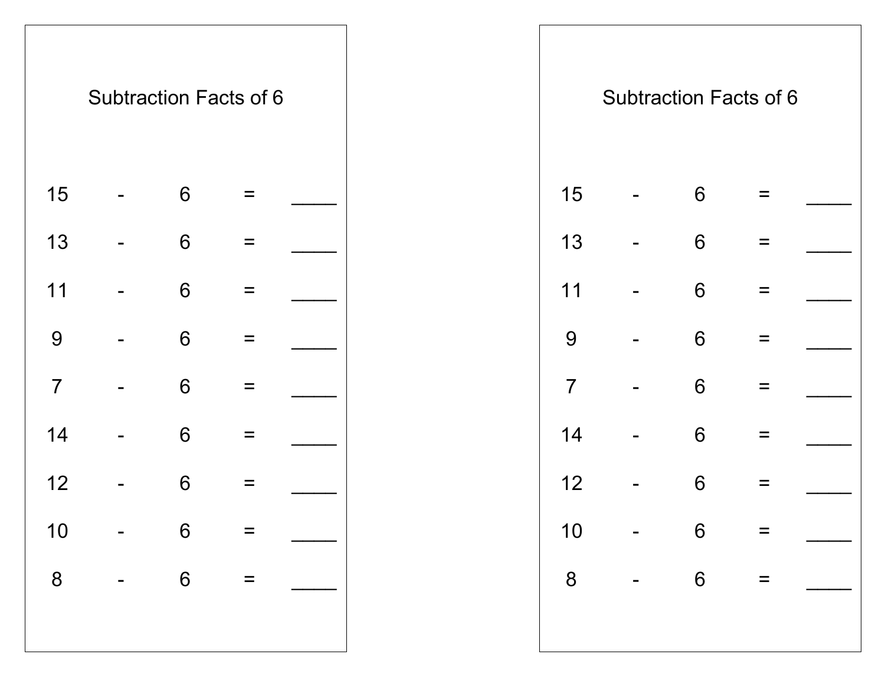

|                | <b>Subtraction Facts of 6</b> |       |          |              |  |                | <b>Subtraction Facts of 6</b> |          |           |
|----------------|-------------------------------|-------|----------|--------------|--|----------------|-------------------------------|----------|-----------|
| 15             |                               | 6     | $\equiv$ |              |  | 15             | 6                             | $=$      |           |
| 13             |                               | 6     | $=$      |              |  | 13             | 6                             | Ξ        |           |
| 11             |                               | 6     | $\equiv$ |              |  | 11             | 6                             | $\equiv$ |           |
| 9              |                               | 6     | $\equiv$ |              |  | 9              | 6                             | $=$      |           |
| $\overline{7}$ |                               | 6     | $\equiv$ |              |  | $\overline{7}$ | 6                             | Ξ        |           |
| 14             |                               | 6     | $\equiv$ |              |  | 14             | 6                             | $=$      |           |
| 12             |                               | 6     | $\equiv$ |              |  | 12             | 6                             | $=$      |           |
| 10             |                               | $6\,$ | $=$      |              |  | 10             | $6\phantom{1}6$               | Ξ        |           |
|                |                               |       |          | $8 - 6 = \_$ |  |                |                               |          | $8 - 6 =$ |
|                |                               |       |          |              |  |                |                               |          |           |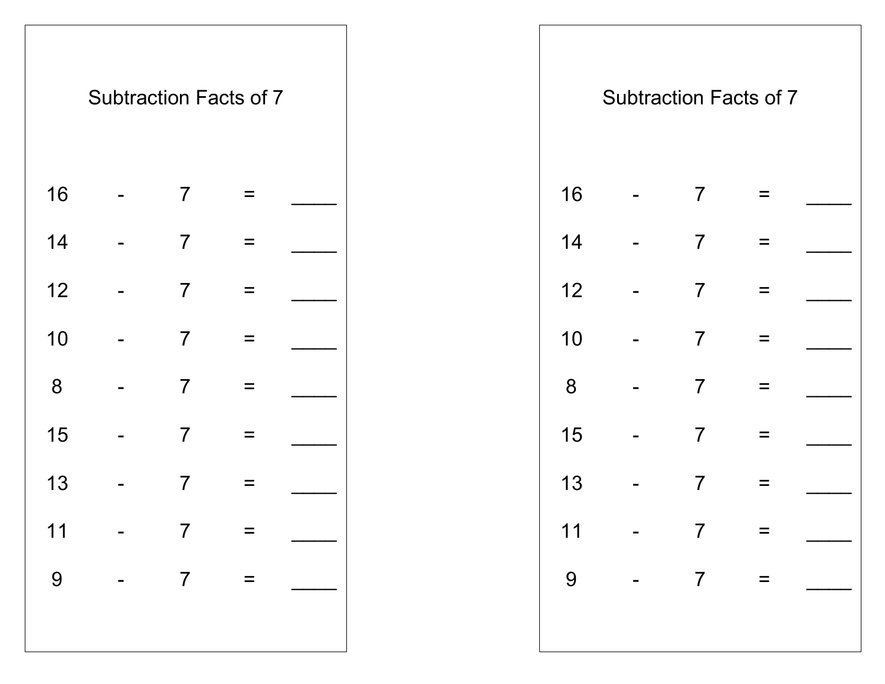|    | <b>Subtraction Facts of 7</b> |                |  |
|----|-------------------------------|----------------|--|
| 16 |                               | $\overline{7}$ |  |
| 14 |                               | $\overline{7}$ |  |
| 12 |                               | $\overline{7}$ |  |
| 10 |                               | $\overline{7}$ |  |
| 8  |                               | $\overline{7}$ |  |
| 15 |                               | $\overline{7}$ |  |
| 13 |                               | $\overline{7}$ |  |
| 11 |                               | $\overline{7}$ |  |
| 9  |                               | $\overline{7}$ |  |
|    |                               |                |  |

|    | <b>Subtraction Facts of 7</b> |                |          |  |  |    |       | <b>Subtraction Facts of 7</b> |          |  |
|----|-------------------------------|----------------|----------|--|--|----|-------|-------------------------------|----------|--|
| 16 |                               | $\overline{7}$ | $\equiv$ |  |  | 16 |       | $\overline{7}$                | $\equiv$ |  |
| 14 |                               | $\overline{7}$ | $\equiv$ |  |  | 14 |       | $\overline{7}$                | $\equiv$ |  |
| 12 |                               | $\overline{7}$ | $\equiv$ |  |  | 12 |       | $\overline{7}$                | $\equiv$ |  |
| 10 |                               | $\overline{7}$ | $\equiv$ |  |  | 10 |       | $\overline{7}$                | $\equiv$ |  |
| 8  |                               | $\overline{7}$ | $\equiv$ |  |  | 8  |       | $\overline{7}$                | $\equiv$ |  |
| 15 |                               | $\overline{7}$ | $\equiv$ |  |  | 15 |       | $\overline{7}$                | $\equiv$ |  |
| 13 |                               | $\overline{7}$ | $\equiv$ |  |  | 13 |       | $\overline{7}$                | $\equiv$ |  |
| 11 |                               | $\overline{7}$ | $\equiv$ |  |  | 11 |       | $\overline{7}$                | $\equiv$ |  |
| 9  | $- 7$                         |                | $=$      |  |  | 9  | $- 7$ |                               | $\equiv$ |  |
|    |                               |                |          |  |  |    |       |                               |          |  |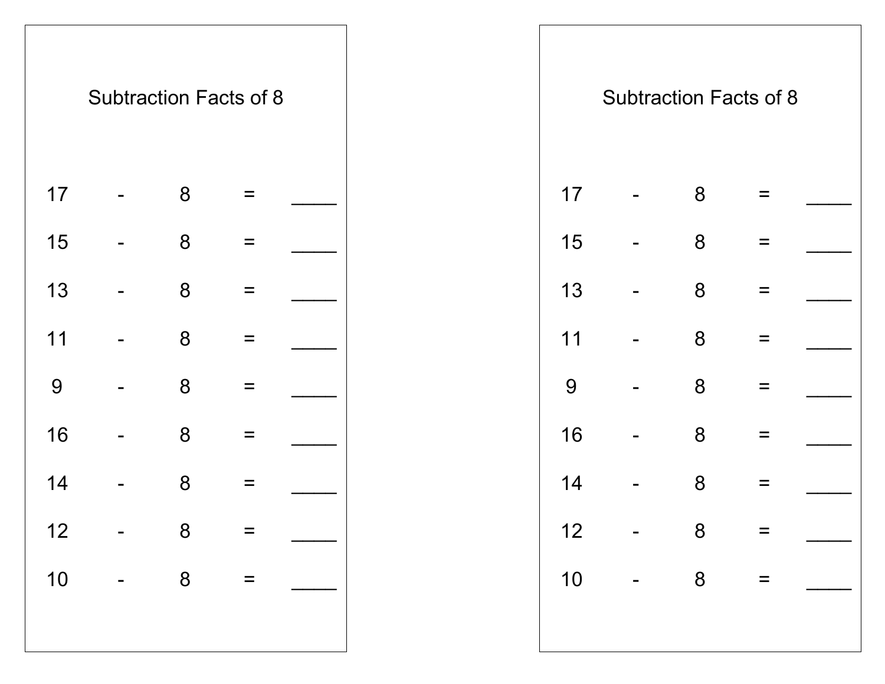|    | <b>Subtraction Facts of 8</b> |   |  |
|----|-------------------------------|---|--|
|    |                               |   |  |
| 17 |                               | 8 |  |
| 15 |                               | 8 |  |
| 13 |                               | 8 |  |
| 11 |                               | 8 |  |
| 9  |                               | 8 |  |
| 16 |                               | 8 |  |
| 14 |                               | 8 |  |
| 12 |                               | 8 |  |
| 10 |                               | 8 |  |
|    |                               |   |  |
|    |                               |   |  |

|    | <b>Subtraction Facts of 8</b> |   |          |            |  |    | <b>Subtraction Facts of 8</b> |          |  |
|----|-------------------------------|---|----------|------------|--|----|-------------------------------|----------|--|
| 17 |                               | 8 | $\equiv$ |            |  | 17 | 8                             |          |  |
| 15 |                               | 8 | $\equiv$ |            |  | 15 | 8                             | $\equiv$ |  |
| 13 |                               | 8 | $\equiv$ |            |  | 13 | 8                             | $\equiv$ |  |
| 11 |                               | 8 | $=$      |            |  | 11 | 8                             | $=$      |  |
| 9  | $\blacksquare$                | 8 | $\equiv$ |            |  | 9  | 8                             | $\equiv$ |  |
| 16 |                               | 8 | $=$      |            |  | 16 | 8                             | $=$      |  |
| 14 |                               | 8 | $\equiv$ |            |  | 14 | 8                             | $\equiv$ |  |
| 12 |                               | 8 | $=$      |            |  | 12 | 8                             | $=$      |  |
|    |                               |   |          | $10 - 8 =$ |  |    | $10 - 8 =$                    |          |  |
|    |                               |   |          |            |  |    |                               |          |  |